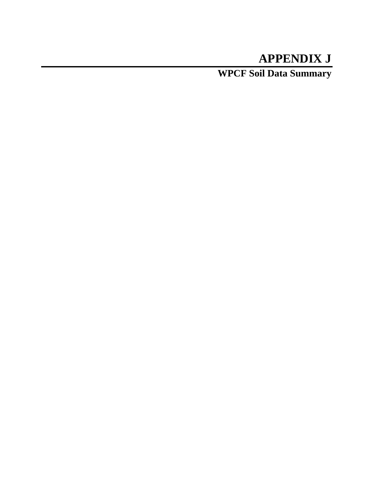## **APPENDIX J**

**WPCF Soil Data Summary**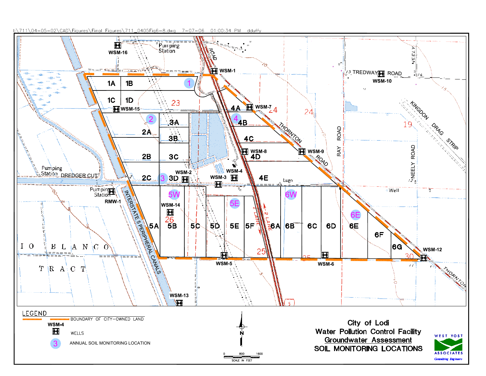I:\711\04-05-02\CAD\Figures\Final Figures\711\_0405Fig6-8.dwg 7-07-06 01:00:34 PM dduffy

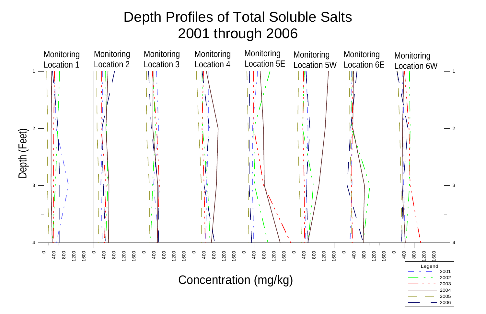## Depth Profiles of Total Soluble Salts 2001 through 2006

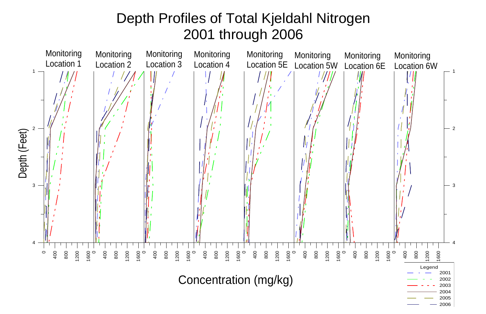

## Depth Profiles of Total Kjeldahl Nitrogen 2001 through 2006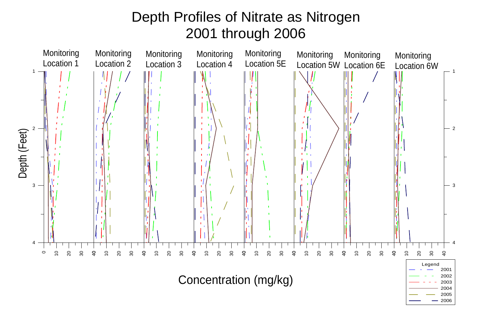## Depth Profiles of Nitrate as Nitrogen 2001 through 2006